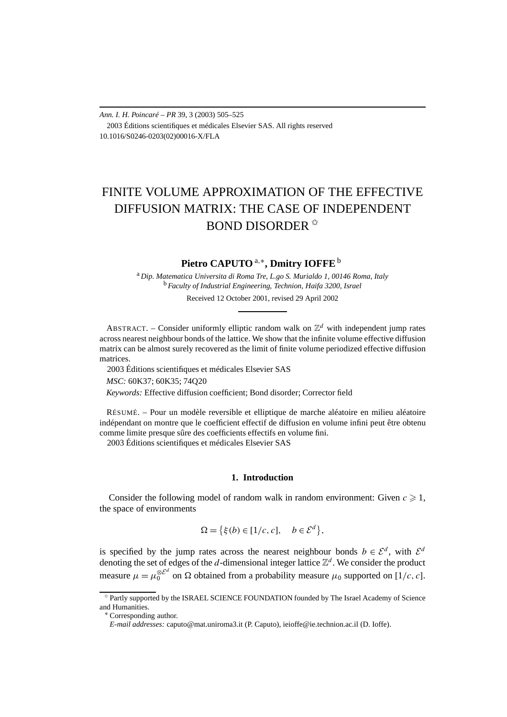*Ann. I. H. Poincaré – PR* 39, 3 (2003) 505–525 2003 Éditions scientifiques et médicales Elsevier SAS. All rights reserved 10.1016/S0246-0203(02)00016-X/FLA

# FINITE VOLUME APPROXIMATION OF THE EFFECTIVE DIFFUSION MATRIX: THE CASE OF INDEPENDENT BOND DISORDER ✩

## **Pietro CAPUTO** <sup>a</sup>*,*∗**, Dmitry IOFFE**<sup>b</sup>

<sup>a</sup> *Dip. Matematica Universita di Roma Tre, L.go S. Murialdo 1, 00146 Roma, Italy* <sup>b</sup> *Faculty of Industrial Engineering, Technion, Haifa 3200, Israel*

Received 12 October 2001, revised 29 April 2002

ABSTRACT. – Consider uniformly elliptic random walk on  $\mathbb{Z}^d$  with independent jump rates across nearest neighbour bonds of the lattice. We show that the infinite volume effective diffusion matrix can be almost surely recovered as the limit of finite volume periodized effective diffusion matrices.

2003 Éditions scientifiques et médicales Elsevier SAS

*MSC:* 60K37; 60K35; 74Q20

*Keywords:* Effective diffusion coefficient; Bond disorder; Corrector field

RÉSUMÉ. – Pour un modèle reversible et elliptique de marche aléatoire en milieu aléatoire indépendant on montre que le coefficient effectif de diffusion en volume infini peut être obtenu comme limite presque sûre des coefficients effectifs en volume fini.

2003 Éditions scientifiques et médicales Elsevier SAS

## **1. Introduction**

Consider the following model of random walk in random environment: Given  $c \geq 1$ , the space of environments

$$
\Omega = \left\{ \xi(b) \in [1/c, c], \quad b \in \mathcal{E}^d \right\},\
$$

is specified by the jump rates across the nearest neighbour bonds  $b \in \mathcal{E}^d$ , with  $\mathcal{E}^d$ denoting the set of edges of the *d*-dimensional integer lattice  $\mathbb{Z}^d$ . We consider the product measure  $\mu = \mu_0^{\otimes \mathcal{E}^d}$  on  $\Omega$  obtained from a probability measure  $\mu_0$  supported on [1/c, c].

<sup>✩</sup> Partly supported by the ISRAEL SCIENCE FOUNDATION founded by The Israel Academy of Science and Humanities.

<sup>∗</sup> Corresponding author.

*E-mail addresses:* caputo@mat.uniroma3.it (P. Caputo), ieioffe@ie.technion.ac.il (D. Ioffe).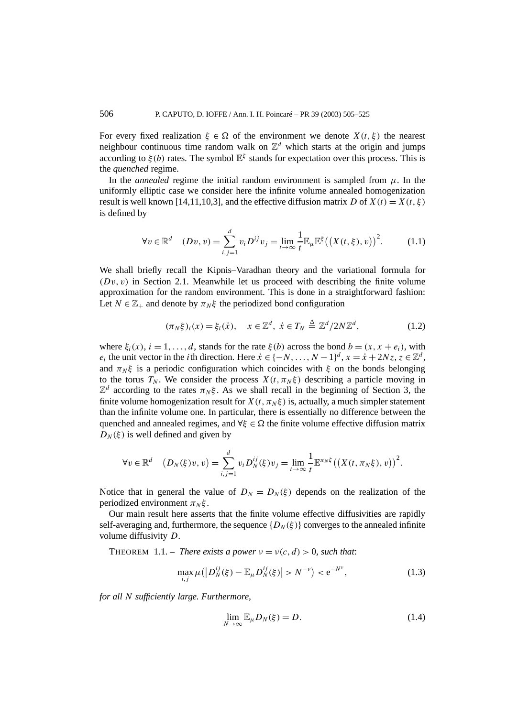For every fixed realization  $\xi \in \Omega$  of the environment we denote  $X(t, \xi)$  the nearest neighbour continuous time random walk on  $\mathbb{Z}^d$  which starts at the origin and jumps according to  $\xi(b)$  rates. The symbol  $\mathbb{E}^{\xi}$  stands for expectation over this process. This is the *quenched* regime.

In the *annealed* regime the initial random environment is sampled from  $\mu$ . In the uniformly elliptic case we consider here the infinite volume annealed homogenization result is well known [14,11,10,3], and the effective diffusion matrix *D* of  $X(t) = X(t, \xi)$ is defined by

$$
\forall v \in \mathbb{R}^d \quad (Dv, v) = \sum_{i,j=1}^d v_i D^{ij} v_j = \lim_{t \to \infty} \frac{1}{t} \mathbb{E}_{\mu} \mathbb{E}^{\xi} ((X(t, \xi), v))^2.
$$
 (1.1)

We shall briefly recall the Kipnis–Varadhan theory and the variational formula for  $(Dv, v)$  in Section 2.1. Meanwhile let us proceed with describing the finite volume approximation for the random environment. This is done in a straightforward fashion: Let  $N \in \mathbb{Z}_+$  and denote by  $\pi_N \xi$  the periodized bond configuration

$$
(\pi_N \xi)_i(x) = \xi_i(\dot{x}), \quad x \in \mathbb{Z}^d, \ \dot{x} \in T_N \stackrel{\Delta}{=} \mathbb{Z}^d / 2N\mathbb{Z}^d, \tag{1.2}
$$

where  $\xi_i(x)$ ,  $i = 1, ..., d$ , stands for the rate  $\xi(b)$  across the bond  $b = (x, x + e_i)$ , with *e<sub>i</sub>* the unit vector in the *i*th direction. Here  $\dot{x} \in \{-N, \ldots, N-1\}^d$ ,  $x = \dot{x} + 2Nz$ ,  $z \in \mathbb{Z}^d$ , and  $\pi_N \xi$  is a periodic configuration which coincides with  $\xi$  on the bonds belonging to the torus  $T_N$ . We consider the process  $X(t, \pi_N \xi)$  describing a particle moving in  $\mathbb{Z}^d$  according to the rates  $\pi_N \xi$ . As we shall recall in the beginning of Section 3, the finite volume homogenization result for  $X(t, \pi_N \xi)$  is, actually, a much simpler statement than the infinite volume one. In particular, there is essentially no difference between the quenched and annealed regimes, and  $\forall \xi \in \Omega$  the finite volume effective diffusion matrix  $D_N(\xi)$  is well defined and given by

$$
\forall v \in \mathbb{R}^d \quad \left(D_N(\xi)v, v\right) = \sum_{i,j=1}^d v_i D_N^{ij}(\xi)v_j = \lim_{t \to \infty} \frac{1}{t} \mathbb{E}^{\pi_N \xi} \left(\left(X(t, \pi_N \xi), v\right)\right)^2.
$$

Notice that in general the value of  $D_N = D_N(\xi)$  depends on the realization of the periodized environment  $\pi_N \xi$ .

Our main result here asserts that the finite volume effective diffusivities are rapidly self-averaging and, furthermore, the sequence  $\{D_N(\xi)\}\)$  converges to the annealed infinite volume diffusivity *D*.

THEOREM 1.1. – *There exists a power*  $v = v(c, d) > 0$ *, such that:* 

$$
\max_{i,j} \mu(|D_N^{ij}(\xi) - \mathbb{E}_{\mu} D_N^{ij}(\xi)| > N^{-\nu}) < e^{-N^{\nu}},
$$
\n(1.3)

*for all N sufficiently large. Furthermore,*

$$
\lim_{N \to \infty} \mathbb{E}_{\mu} D_N(\xi) = D. \tag{1.4}
$$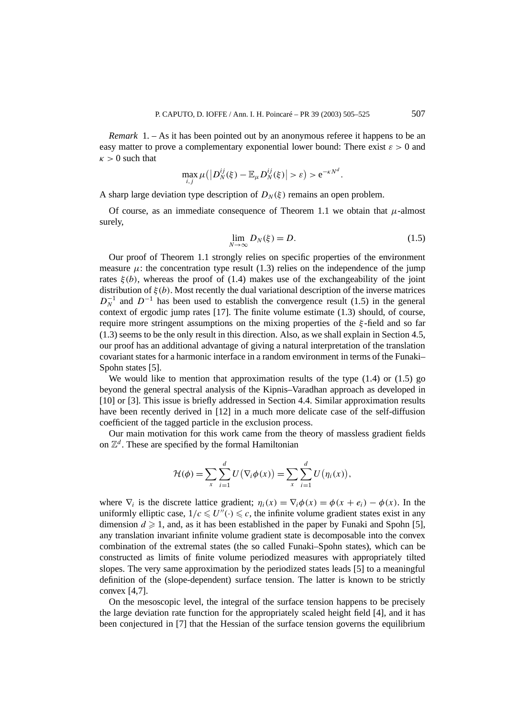*Remark* 1. – As it has been pointed out by an anonymous referee it happens to be an easy matter to prove a complementary exponential lower bound: There exist  $\varepsilon > 0$  and  $\kappa > 0$  such that

$$
\max_{i,j} \mu(|D_N^{ij}(\xi) - \mathbb{E}_{\mu} D_N^{ij}(\xi)| > \varepsilon) > e^{-\kappa N^d}.
$$

A sharp large deviation type description of  $D_N(\xi)$  remains an open problem.

Of course, as an immediate consequence of Theorem 1.1 we obtain that  $\mu$ -almost surely,

$$
\lim_{N \to \infty} D_N(\xi) = D. \tag{1.5}
$$

Our proof of Theorem 1.1 strongly relies on specific properties of the environment measure  $\mu$ : the concentration type result (1.3) relies on the independence of the jump rates  $\xi(b)$ , whereas the proof of (1.4) makes use of the exchangeability of the joint distribution of *ξ(b)*. Most recently the dual variational description of the inverse matrices  $D_N^{-1}$  and  $D^{-1}$  has been used to establish the convergence result (1.5) in the general context of ergodic jump rates [17]. The finite volume estimate  $(1.3)$  should, of course, require more stringent assumptions on the mixing properties of the *ξ* -field and so far (1.3) seems to be the only result in this direction. Also, as we shall explain in Section 4.5, our proof has an additional advantage of giving a natural interpretation of the translation covariant states for a harmonic interface in a random environment in terms of the Funaki– Spohn states [5].

We would like to mention that approximation results of the type  $(1.4)$  or  $(1.5)$  go beyond the general spectral analysis of the Kipnis–Varadhan approach as developed in [10] or [3]. This issue is briefly addressed in Section 4.4. Similar approximation results have been recently derived in [12] in a much more delicate case of the self-diffusion coefficient of the tagged particle in the exclusion process.

Our main motivation for this work came from the theory of massless gradient fields on  $\mathbb{Z}^d$ . These are specified by the formal Hamiltonian

$$
\mathcal{H}(\phi) = \sum_{x} \sum_{i=1}^{d} U(\nabla_i \phi(x)) = \sum_{x} \sum_{i=1}^{d} U(\eta_i(x)),
$$

where  $\nabla_i$  is the discrete lattice gradient;  $\eta_i(x) = \nabla_i \phi(x) = \phi(x + e_i) - \phi(x)$ . In the uniformly elliptic case,  $1/c \leq U''(·) \leq c$ , the infinite volume gradient states exist in any dimension  $d \geq 1$ , and, as it has been established in the paper by Funaki and Spohn [5], any translation invariant infinite volume gradient state is decomposable into the convex combination of the extremal states (the so called Funaki–Spohn states), which can be constructed as limits of finite volume periodized measures with appropriately tilted slopes. The very same approximation by the periodized states leads [5] to a meaningful definition of the (slope-dependent) surface tension. The latter is known to be strictly convex [4,7].

On the mesoscopic level, the integral of the surface tension happens to be precisely the large deviation rate function for the appropriately scaled height field [4], and it has been conjectured in [7] that the Hessian of the surface tension governs the equilibrium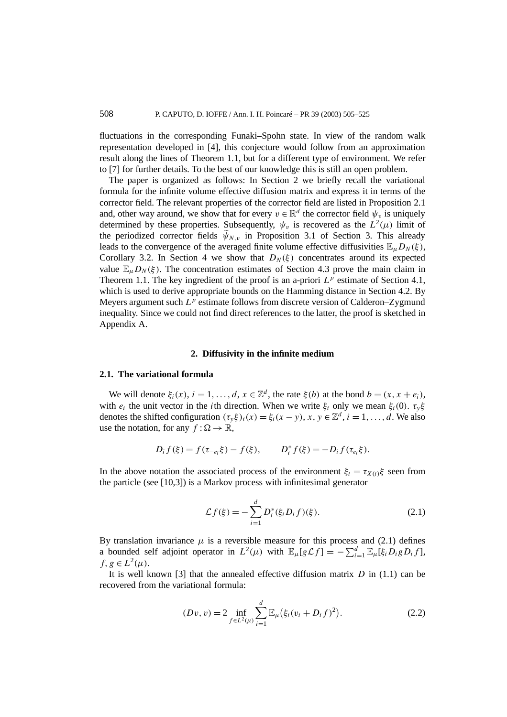fluctuations in the corresponding Funaki–Spohn state. In view of the random walk representation developed in [4], this conjecture would follow from an approximation result along the lines of Theorem 1.1, but for a different type of environment. We refer to [7] for further details. To the best of our knowledge this is still an open problem.

The paper is organized as follows: In Section 2 we briefly recall the variational formula for the infinite volume effective diffusion matrix and express it in terms of the corrector field. The relevant properties of the corrector field are listed in Proposition 2.1 and, other way around, we show that for every  $v \in \mathbb{R}^d$  the corrector field  $\psi_v$  is uniquely determined by these properties. Subsequently,  $\psi$ <sub>*n*</sub> is recovered as the  $L^2(\mu)$  limit of the periodized corrector fields  $\psi_{N,v}$  in Proposition 3.1 of Section 3. This already leads to the convergence of the averaged finite volume effective diffusivities  $\mathbb{E}_{\mu}D_{N}(\xi)$ , Corollary 3.2. In Section 4 we show that  $D_N(\xi)$  concentrates around its expected value  $\mathbb{E}_{\mu}D_N(\xi)$ . The concentration estimates of Section 4.3 prove the main claim in Theorem 1.1. The key ingredient of the proof is an a-priori  $L^p$  estimate of Section 4.1, which is used to derive appropriate bounds on the Hamming distance in Section 4.2. By Meyers argument such  $L^p$  estimate follows from discrete version of Calderon–Zygmund inequality. Since we could not find direct references to the latter, the proof is sketched in Appendix A.

#### **2. Diffusivity in the infinite medium**

#### **2.1. The variational formula**

We will denote  $\xi_i(x)$ ,  $i = 1, \ldots, d$ ,  $x \in \mathbb{Z}^d$ , the rate  $\xi(b)$  at the bond  $b = (x, x + e_i)$ , with  $e_i$  the unit vector in the *i*th direction. When we write  $\xi_i$  only we mean  $\xi_i(0)$ .  $\tau_{\nu}\xi$ denotes the shifted configuration  $(\tau_v \xi)_i(x) = \xi_i(x - y)$ ,  $x, y \in \mathbb{Z}^d$ ,  $i = 1, ..., d$ . We also use the notation, for any  $f : \Omega \to \mathbb{R}$ ,

$$
D_i f(\xi) = f(\tau_{-e_i} \xi) - f(\xi), \qquad D_i^* f(\xi) = -D_i f(\tau_{e_i} \xi).
$$

In the above notation the associated process of the environment  $\xi_t = \tau_{X(t)}\xi$  seen from the particle (see [10,3]) is a Markov process with infinitesimal generator

$$
\mathcal{L}f(\xi) = -\sum_{i=1}^{d} D_i^*(\xi_i D_i f)(\xi).
$$
 (2.1)

By translation invariance  $\mu$  is a reversible measure for this process and (2.1) defines a bounded self adjoint operator in  $L^2(\mu)$  with  $\mathbb{E}_{\mu}[g\mathcal{L}f] = -\sum_{i=1}^d \mathbb{E}_{\mu}[\xi_i D_i g D_i f],$ *f, g*  $\in L^2(\mu)$ .

It is well known [3] that the annealed effective diffusion matrix *D* in (1.1) can be recovered from the variational formula:

$$
(Dv, v) = 2 \inf_{f \in L^2(\mu)} \sum_{i=1}^d \mathbb{E}_{\mu} (\xi_i (v_i + D_i f)^2).
$$
 (2.2)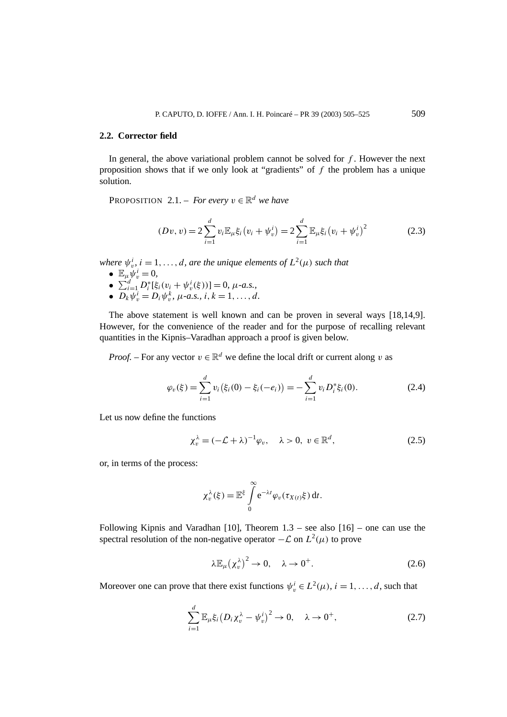#### **2.2. Corrector field**

In general, the above variational problem cannot be solved for *f* . However the next proposition shows that if we only look at "gradients" of *f* the problem has a unique solution.

**PROPOSITION** 2.1. – *For every*  $v \in \mathbb{R}^d$  *we have* 

$$
(Dv, v) = 2\sum_{i=1}^{d} v_i \mathbb{E}_{\mu} \xi_i (v_i + \psi_v^i) = 2\sum_{i=1}^{d} \mathbb{E}_{\mu} \xi_i (v_i + \psi_v^i)^2
$$
(2.3)

*where*  $\psi_v^i$ ,  $i = 1, \ldots, d$ , are the unique elements of  $L^2(\mu)$  such that

- $\mathbb{E}_{\mu} \psi_v^i = 0$ ,
- $\sum_{i=1}^{d} D_i^* [\xi_i (v_i + \psi_v^i(\xi))] = 0, \mu$ -a.s.,
- $D_k \psi_v^i = D_i \psi_v^k$ ,  $\mu$ -a.s.,  $i, k = 1, ..., d$ .

The above statement is well known and can be proven in several ways [18,14,9]. However, for the convenience of the reader and for the purpose of recalling relevant quantities in the Kipnis–Varadhan approach a proof is given below.

*Proof.* – For any vector  $v \in \mathbb{R}^d$  we define the local drift or current along *v* as

$$
\varphi_v(\xi) = \sum_{i=1}^d v_i(\xi_i(0) - \xi_i(-e_i)) = -\sum_{i=1}^d v_i D_i^* \xi_i(0). \tag{2.4}
$$

Let us now define the functions

$$
\chi_v^{\lambda} = (-\mathcal{L} + \lambda)^{-1} \varphi_v, \quad \lambda > 0, \ v \in \mathbb{R}^d,
$$
 (2.5)

or, in terms of the process:

$$
\chi_v^{\lambda}(\xi) = \mathbb{E}^{\xi} \int\limits_0^{\infty} e^{-\lambda t} \varphi_v(\tau_{X(t)}\xi) dt.
$$

Following Kipnis and Varadhan [10], Theorem  $1.3$  – see also [16] – one can use the spectral resolution of the non-negative operator  $-\mathcal{L}$  on  $L^2(\mu)$  to prove

$$
\lambda \mathbb{E}_{\mu} (\chi_v^{\lambda})^2 \to 0, \quad \lambda \to 0^+.
$$
 (2.6)

Moreover one can prove that there exist functions  $\psi_v^i \in L^2(\mu)$ ,  $i = 1, \ldots, d$ , such that

$$
\sum_{i=1}^{d} \mathbb{E}_{\mu} \xi_i \left( D_i \chi_v^{\lambda} - \psi_v^i \right)^2 \to 0, \quad \lambda \to 0^+, \tag{2.7}
$$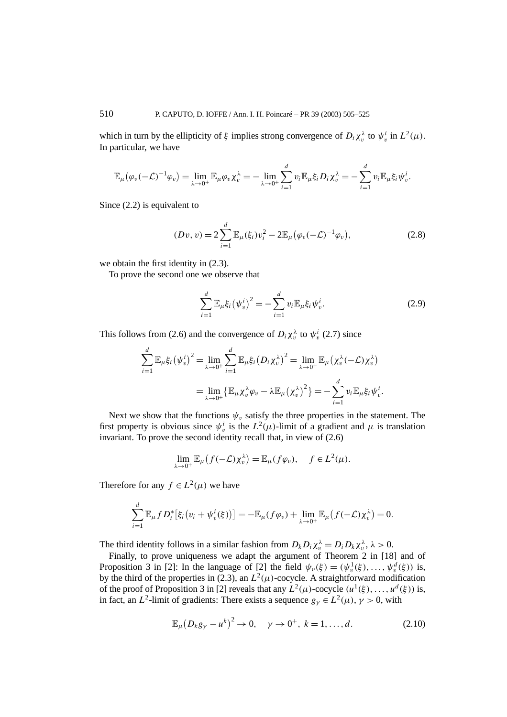which in turn by the ellipticity of  $\xi$  implies strong convergence of  $D_i \chi_v^{\lambda}$  to  $\psi_v^i$  in  $L^2(\mu)$ . In particular, we have

$$
\mathbb{E}_{\mu}(\varphi_{v}(-\mathcal{L})^{-1}\varphi_{v})=\lim_{\lambda\to 0^{+}}\mathbb{E}_{\mu}\varphi_{v}\chi_{v}^{\lambda}=-\lim_{\lambda\to 0^{+}}\sum_{i=1}^{d}v_{i}\mathbb{E}_{\mu}\xi_{i}D_{i}\chi_{v}^{\lambda}=-\sum_{i=1}^{d}v_{i}\mathbb{E}_{\mu}\xi_{i}\psi_{v}^{i}.
$$

Since (2.2) is equivalent to

$$
(Dv, v) = 2 \sum_{i=1}^{d} \mathbb{E}_{\mu}(\xi_i) v_i^2 - 2 \mathbb{E}_{\mu} (\varphi_v(-\mathcal{L})^{-1} \varphi_v), \qquad (2.8)
$$

we obtain the first identity in (2.3).

To prove the second one we observe that

$$
\sum_{i=1}^{d} \mathbb{E}_{\mu} \xi_i (\psi_v^i)^2 = -\sum_{i=1}^{d} v_i \mathbb{E}_{\mu} \xi_i \psi_v^i.
$$
 (2.9)

This follows from (2.6) and the convergence of  $D_i \chi_v^{\lambda}$  to  $\psi_v^i$  (2.7) since

$$
\sum_{i=1}^{d} \mathbb{E}_{\mu} \xi_{i} (\psi_{v}^{i})^{2} = \lim_{\lambda \to 0^{+}} \sum_{i=1}^{d} \mathbb{E}_{\mu} \xi_{i} (D_{i} \chi_{v}^{\lambda})^{2} = \lim_{\lambda \to 0^{+}} \mathbb{E}_{\mu} (\chi_{v}^{\lambda} (-\mathcal{L}) \chi_{v}^{\lambda})
$$

$$
= \lim_{\lambda \to 0^{+}} \{ \mathbb{E}_{\mu} \chi_{v}^{\lambda} \varphi_{v} - \lambda \mathbb{E}_{\mu} (\chi_{v}^{\lambda})^{2} \} = - \sum_{i=1}^{d} v_{i} \mathbb{E}_{\mu} \xi_{i} \psi_{v}^{i}.
$$

Next we show that the functions  $\psi$ <sub>*v*</sub> satisfy the three properties in the statement. The first property is obvious since  $\psi_v^i$  is the  $L^2(\mu)$ -limit of a gradient and  $\mu$  is translation invariant. To prove the second identity recall that, in view of (2.6)

$$
\lim_{\lambda \to 0^+} \mathbb{E}_{\mu} (f(-\mathcal{L}) \chi_v^{\lambda}) = \mathbb{E}_{\mu} (f \varphi_v), \quad f \in L^2(\mu).
$$

Therefore for any  $f \in L^2(\mu)$  we have

$$
\sum_{i=1}^d \mathbb{E}_{\mu} f D_i^* \big[ \xi_i \big( v_i + \psi_v^i(\xi) \big) \big] = - \mathbb{E}_{\mu} (f \varphi_v) + \lim_{\lambda \to 0^+} \mathbb{E}_{\mu} \big( f(-\mathcal{L}) \chi_v^{\lambda} \big) = 0.
$$

The third identity follows in a similar fashion from  $D_k D_i \chi_v^{\lambda} = D_i D_k \chi_v^{\lambda}$ ,  $\lambda > 0$ .

Finally, to prove uniqueness we adapt the argument of Theorem 2 in [18] and of Proposition 3 in [2]: In the language of [2] the field  $\psi_v(\xi) = (\psi_v^1(\xi), \dots, \psi_v^d(\xi))$  is, by the third of the properties in (2.3), an  $L^2(\mu)$ -cocycle. A straightforward modification of the proof of Proposition 3 in [2] reveals that any  $L^2(\mu)$ -cocycle  $(u^1(\xi), \ldots, u^d(\xi))$  is, in fact, an *L*<sup>2</sup>-limit of gradients: There exists a sequence  $g_{\gamma} \in L^2(\mu)$ ,  $\gamma > 0$ , with

$$
\mathbb{E}_{\mu} (D_k g_{\gamma} - u^k)^2 \to 0, \quad \gamma \to 0^+, \ k = 1, ..., d. \tag{2.10}
$$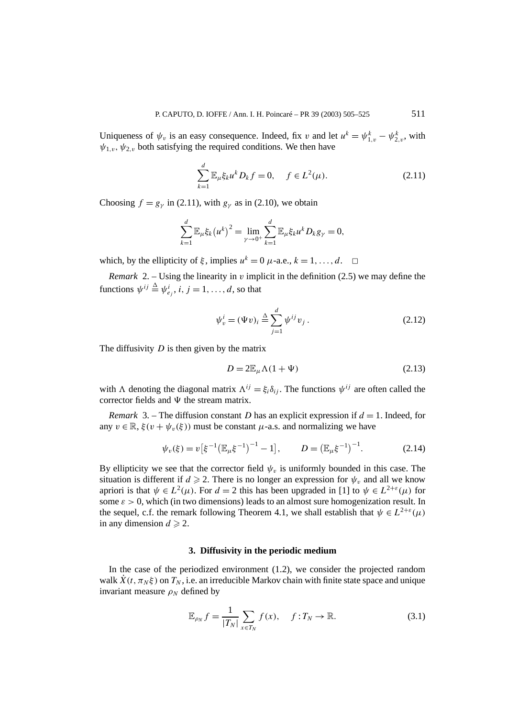Uniqueness of  $\psi_v$  is an easy consequence. Indeed, fix *v* and let  $u^k = \psi_{1,v}^k - \psi_{2,v}^k$ , with  $\psi_{1,y}$ ,  $\psi_{2,y}$  both satisfying the required conditions. We then have

$$
\sum_{k=1}^{d} \mathbb{E}_{\mu} \xi_k u^k D_k f = 0, \quad f \in L^2(\mu). \tag{2.11}
$$

Choosing  $f = g_\nu$  in (2.11), with  $g_\nu$  as in (2.10), we obtain

$$
\sum_{k=1}^{d} \mathbb{E}_{\mu} \xi_k (u^k)^2 = \lim_{\gamma \to 0^+} \sum_{k=1}^{d} \mathbb{E}_{\mu} \xi_k u^k D_k g_{\gamma} = 0,
$$

which, by the ellipticity of  $\xi$ , implies  $u^k = 0$   $\mu$ -a.e.,  $k = 1, \ldots, d$ .  $\Box$ 

*Remark* 2. – Using the linearity in *v* implicit in the definition (2.5) we may define the functions  $\psi^{ij} \triangleq \psi_{e_j}^i$ ,  $i, j = 1, \ldots, d$ , so that

$$
\psi_v^i = (\Psi v)_i \stackrel{\Delta}{=} \sum_{j=1}^d \psi^{ij} v_j . \tag{2.12}
$$

The diffusivity *D* is then given by the matrix

$$
D = 2\mathbb{E}_{\mu}\Lambda(1+\Psi) \tag{2.13}
$$

with *Λ* denoting the diagonal matrix  $\Lambda^{ij} = \xi_i \delta_{ij}$ . The functions  $\psi^{ij}$  are often called the corrector fields and  $\Psi$  the stream matrix.

*Remark* 3. – The diffusion constant *D* has an explicit expression if  $d = 1$ . Indeed, for any  $v \in \mathbb{R}$ ,  $\xi(v + \psi_v(\xi))$  must be constant  $\mu$ -a.s. and normalizing we have

$$
\psi_v(\xi) = v\big[\xi^{-1} \big(\mathbb{E}_{\mu}\xi^{-1}\big)^{-1} - 1\big], \qquad D = \big(\mathbb{E}_{\mu}\xi^{-1}\big)^{-1}.
$$
 (2.14)

By ellipticity we see that the corrector field  $\psi$ <sub>*v*</sub> is uniformly bounded in this case. The situation is different if  $d \ge 2$ . There is no longer an expression for  $\psi_v$  and all we know apriori is that  $\psi \in L^2(\mu)$ . For  $d = 2$  this has been upgraded in [1] to  $\psi \in L^{2+\epsilon}(\mu)$  for some  $\varepsilon > 0$ , which (in two dimensions) leads to an almost sure homogenization result. In the sequel, c.f. the remark following Theorem 4.1, we shall establish that  $\psi \in L^{2+\epsilon}(\mu)$ in any dimension  $d \ge 2$ .

## **3. Diffusivity in the periodic medium**

In the case of the periodized environment (1.2), we consider the projected random walk  $\dot{X}(t, \pi_N \xi)$  on  $T_N$ , i.e. an irreducible Markov chain with finite state space and unique invariant measure  $\rho_N$  defined by

$$
\mathbb{E}_{\rho_N} f = \frac{1}{|T_N|} \sum_{x \in T_N} f(x), \quad f: T_N \to \mathbb{R}.
$$
 (3.1)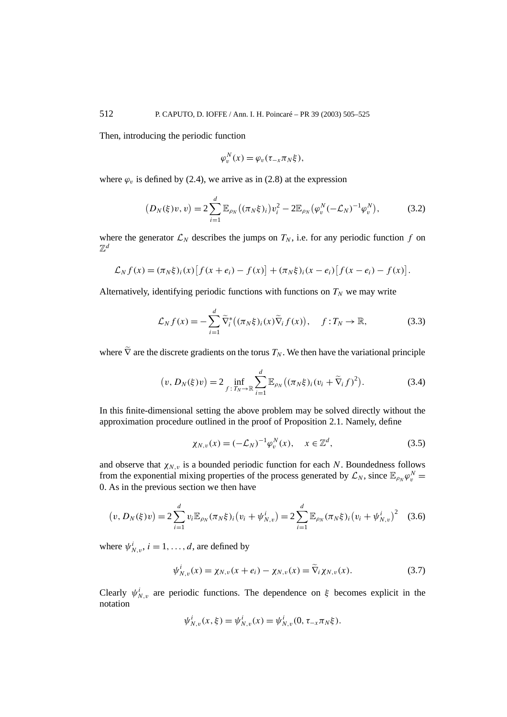Then, introducing the periodic function

$$
\varphi_v^N(x) = \varphi_v(\tau_{-x}\pi_N\xi),
$$

where  $\varphi$ <sub>*v*</sub> is defined by (2.4), we arrive as in (2.8) at the expression

$$
(D_N(\xi)v, v) = 2\sum_{i=1}^d \mathbb{E}_{\rho_N}((\pi_N \xi)_i) v_i^2 - 2\mathbb{E}_{\rho_N}(\varphi_v^N(-\mathcal{L}_N)^{-1} \varphi_v^N), \tag{3.2}
$$

where the generator  $\mathcal{L}_N$  describes the jumps on  $T_N$ , i.e. for any periodic function f on  $\mathbb{Z}^d$ 

$$
\mathcal{L}_N f(x) = (\pi_N \xi)_i(x) \big[ f(x + e_i) - f(x) \big] + (\pi_N \xi)_i (x - e_i) \big[ f(x - e_i) - f(x) \big].
$$

Alternatively, identifying periodic functions with functions on  $T_N$  we may write

$$
\mathcal{L}_N f(x) = -\sum_{i=1}^d \widetilde{\nabla}_i^* \big( (\pi_N \xi)_i(x) \widetilde{\nabla}_i f(x) \big), \quad f: T_N \to \mathbb{R}, \tag{3.3}
$$

where  $\tilde{\nabla}$  are the discrete gradients on the torus  $T_N$ . We then have the variational principle

$$
(v, D_N(\xi)v) = 2 \inf_{f: T_N \to \mathbb{R}} \sum_{i=1}^d \mathbb{E}_{\rho_N} ((\pi_N \xi)_i (v_i + \widetilde{\nabla}_i f)^2).
$$
 (3.4)

In this finite-dimensional setting the above problem may be solved directly without the approximation procedure outlined in the proof of Proposition 2.1. Namely, define

$$
\chi_{N,v}(x) = (-\mathcal{L}_N)^{-1} \varphi_v^N(x), \quad x \in \mathbb{Z}^d,
$$
\n(3.5)

and observe that  $\chi_{N,v}$  is a bounded periodic function for each *N*. Boundedness follows from the exponential mixing properties of the process generated by  $\mathcal{L}_N$ , since  $\mathbb{E}_{\rho_N}\varphi_v^N =$ 0. As in the previous section we then have

$$
(v, D_N(\xi)v) = 2\sum_{i=1}^d v_i \mathbb{E}_{\rho_N}(\pi_N \xi)_i (v_i + \psi_{N,v}^i) = 2\sum_{i=1}^d \mathbb{E}_{\rho_N}(\pi_N \xi)_i (v_i + \psi_{N,v}^i)^2
$$
 (3.6)

where  $\psi^i_{N,v}$ ,  $i = 1, ..., d$ , are defined by

$$
\psi_{N,v}^{i}(x) = \chi_{N,v}(x + e_i) - \chi_{N,v}(x) = \widetilde{\nabla}_i \chi_{N,v}(x).
$$
 (3.7)

Clearly  $\psi_{N,v}^i$  are periodic functions. The dependence on  $\xi$  becomes explicit in the notation

$$
\psi_{N,v}^i(x,\xi) = \psi_{N,v}^i(x) = \psi_{N,v}^i(0, \tau_{-x} \pi_N \xi).
$$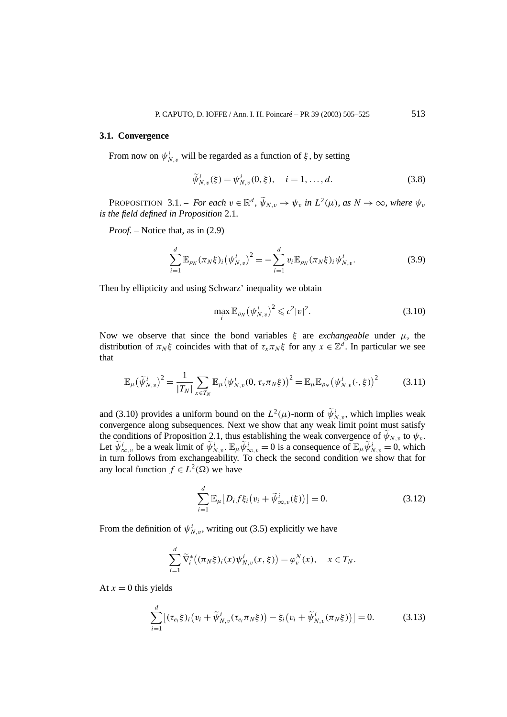#### **3.1. Convergence**

From now on  $\psi_{N,v}^i$  will be regarded as a function of  $\xi$ , by setting

$$
\tilde{\psi}_{N,v}^{i}(\xi) = \psi_{N,v}^{i}(0,\xi), \quad i = 1, ..., d.
$$
\n(3.8)

**PROPOSITION** 3.1. – *For each*  $v \in \mathbb{R}^d$ ,  $\widetilde{\psi}_{N,v} \to \psi_v$  *in*  $L^2(\mu)$ *, as*  $N \to \infty$ *, where*  $\psi_v$ *is the field defined in Proposition* 2.1*.*

*Proof. –* Notice that, as in (2.9)

$$
\sum_{i=1}^{d} \mathbb{E}_{\rho_N}(\pi_N \xi)_i (\psi_{N,v}^i)^2 = -\sum_{i=1}^{d} v_i \mathbb{E}_{\rho_N}(\pi_N \xi)_i \psi_{N,v}^i.
$$
 (3.9)

Then by ellipticity and using Schwarz' inequality we obtain

$$
\max_{i} \mathbb{E}_{\rho_N} (\psi_{N,v}^i)^2 \leqslant c^2 |v|^2. \tag{3.10}
$$

Now we observe that since the bond variables  $\xi$  are *exchangeable* under  $\mu$ , the distribution of  $\pi_N \xi$  coincides with that of  $\tau_x \pi_N \xi$  for any  $x \in \mathbb{Z}^d$ . In particular we see that

$$
\mathbb{E}_{\mu}(\widetilde{\psi}_{N,v}^{i})^{2} = \frac{1}{|T_{N}|} \sum_{x \in T_{N}} \mathbb{E}_{\mu}(\psi_{N,v}^{i}(0, \tau_{x}\pi_{N}\xi))^{2} = \mathbb{E}_{\mu} \mathbb{E}_{\rho_{N}}(\psi_{N,v}^{i}(\cdot, \xi))^{2}
$$
(3.11)

and (3.10) provides a uniform bound on the  $L^2(\mu)$ -norm of  $\widetilde{\psi}_{N,\nu}^i$ , which implies weak convergence along subsequences. Next we show that any weak limit point must satisfy the conditions of Proposition 2.1, thus establishing the weak convergence of  $\tilde{\psi}_{N,v}$  to  $\psi_v$ . Let  $\widetilde{\psi}_{\infty,v}^i$  be a weak limit of  $\widetilde{\psi}_{N,v}^i$ .  $\mathbb{E}_{\mu} \widetilde{\psi}_{\infty,v}^i = 0$  is a consequence of  $\mathbb{E}_{\mu} \widetilde{\psi}_{N,v}^i = 0$ , which in turn follows from exchangeability. To check the second condition we show that for any local function  $f \in L^2(\Omega)$  we have

$$
\sum_{i=1}^{d} \mathbb{E}_{\mu} [D_i f \xi_i (v_i + \widetilde{\psi}_{\infty, v}^i(\xi))] = 0.
$$
 (3.12)

From the definition of  $\psi^i_{N,v}$ , writing out (3.5) explicitly we have

$$
\sum_{i=1}^d \widetilde{\nabla}_i^* \big( (\pi_N \xi)_i(x) \psi^i_{N,\nu}(x,\xi) \big) = \varphi^N_\nu(x), \quad x \in T_N.
$$

At  $x = 0$  this yields

$$
\sum_{i=1}^{d} \left[ (\tau_{e_i} \xi)_i \left( v_i + \widetilde{\psi}_{N,v}^i (\tau_{e_i} \pi_N \xi) \right) - \xi_i \left( v_i + \widetilde{\psi}_{N,v}^i (\pi_N \xi) \right) \right] = 0. \tag{3.13}
$$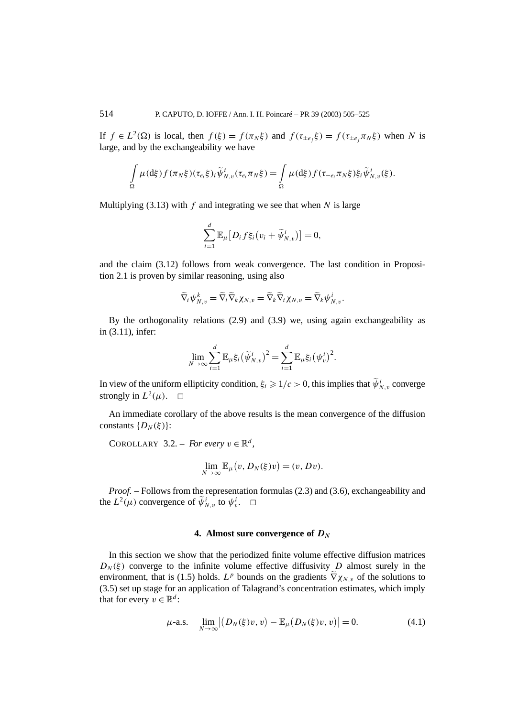If  $f \in L^2(\Omega)$  is local, then  $f(\xi) = f(\pi_N \xi)$  and  $f(\tau_{\pm e_i} \xi) = f(\tau_{\pm e_i} \pi_N \xi)$  when *N* is large, and by the exchangeability we have

$$
\int_{\Omega} \mu(\mathrm{d}\xi) f(\pi_N \xi) (\tau_{e_i} \xi)_i \widetilde{\psi}_{N,v}^i(\tau_{e_i} \pi_N \xi) = \int_{\Omega} \mu(\mathrm{d}\xi) f(\tau_{-e_i} \pi_N \xi) \xi_i \widetilde{\psi}_{N,v}^i(\xi).
$$

Multiplying  $(3.13)$  with  $f$  and integrating we see that when  $N$  is large

$$
\sum_{i=1}^d \mathbb{E}_{\mu} \big[ D_i f \xi_i \big( v_i + \widetilde{\psi}_{N,\,v}^i \big) \big] = 0,
$$

and the claim (3.12) follows from weak convergence. The last condition in Proposition 2.1 is proven by similar reasoning, using also

$$
\widetilde{\nabla}_i \psi_{N,v}^k = \widetilde{\nabla}_i \widetilde{\nabla}_k \chi_{N,v} = \widetilde{\nabla}_k \widetilde{\nabla}_i \chi_{N,v} = \widetilde{\nabla}_k \psi_{N,v}^i.
$$

By the orthogonality relations (2.9) and (3.9) we, using again exchangeability as in (3.11), infer:

$$
\lim_{N\to\infty}\sum_{i=1}^d\mathbb{E}_{\mu}\xi_i(\widetilde{\psi}_{N,\nu}^i)^2=\sum_{i=1}^d\mathbb{E}_{\mu}\xi_i(\psi_v^i)^2.
$$

In view of the uniform ellipticity condition,  $\xi_i \geq 1/c > 0$ , this implies that  $\widetilde{\psi}_{N,v}^i$  converge strongly in  $L^2(\mu)$ .  $\Box$ 

An immediate corollary of the above results is the mean convergence of the diffusion constants  $\{D_N(\xi)\}\$ :

COROLLARY 3.2. – *For every*  $v \in \mathbb{R}^d$ ,

$$
\lim_{N \to \infty} \mathbb{E}_{\mu}(v, D_N(\xi)v) = (v, Dv).
$$

*Proof. –* Follows from the representation formulas (2.3) and (3.6), exchangeability and the  $L^2(\mu)$  convergence of  $\widetilde{\psi}_{N,\nu}^i$  to  $\psi_v^i$ .  $\Box$ 

### **4. Almost sure convergence of** *DN*

In this section we show that the periodized finite volume effective diffusion matrices  $D_N(\xi)$  converge to the infinite volume effective diffusivity *D* almost surely in the environment, that is (1.5) holds.  $L^p$  bounds on the gradients  $\tilde{\nabla}\chi_{N,v}$  of the solutions to (3.5) set up stage for an application of Talagrand's concentration estimates, which imply that for every  $v \in \mathbb{R}^d$ :

$$
\mu\text{-a.s.} \quad \lim_{N \to \infty} \left| (D_N(\xi)v, v) - \mathbb{E}_{\mu} (D_N(\xi)v, v) \right| = 0. \tag{4.1}
$$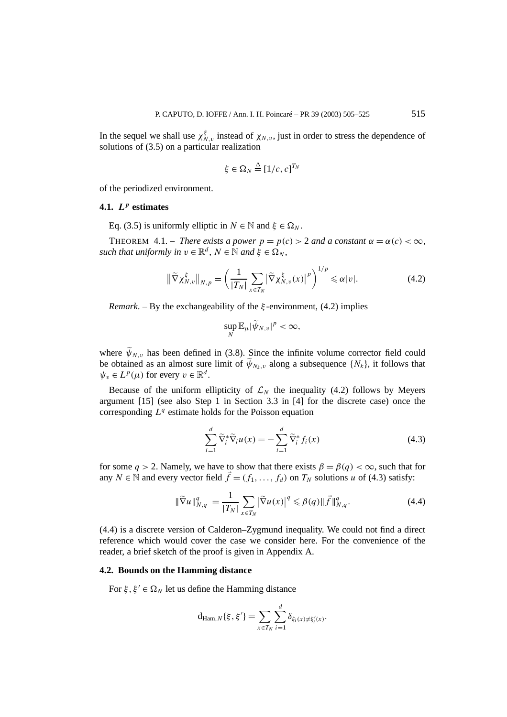In the sequel we shall use  $\chi_{N,v}^{\xi}$  instead of  $\chi_{N,v}$ , just in order to stress the dependence of solutions of (3.5) on a particular realization

$$
\xi \in \Omega_N \stackrel{\Delta}{=} [1/c, c]^{T_N}
$$

of the periodized environment.

## **4.1.** *L<sup>p</sup>* **estimates**

Eq. (3.5) is uniformly elliptic in  $N \in \mathbb{N}$  and  $\xi \in \Omega_N$ .

THEOREM 4.1. – *There exists a power*  $p = p(c) > 2$  *and a constant*  $\alpha = \alpha(c) < \infty$ , *such that uniformly in*  $v \in \mathbb{R}^d$ ,  $N \in \mathbb{N}$  *and*  $\xi \in \Omega_N$ ,

$$
\|\widetilde{\nabla}\chi_{N,v}^{\xi}\|_{N,p} = \left(\frac{1}{|T_N|}\sum_{x\in T_N} |\widetilde{\nabla}\chi_{N,v}^{\xi}(x)|^p\right)^{1/p} \leq \alpha|\nu|. \tag{4.2}
$$

*Remark*. – By the exchangeability of the *ξ* -environment, (4.2) implies

$$
\sup_N \mathbb{E}_{\mu} |\widetilde{\psi}_{N,v}|^p < \infty,
$$

where  $\widetilde{\psi}_{N,v}$  has been defined in (3.8). Since the infinite volume corrector field could be obtained as an almost sure limit of  $\widetilde{\psi}_{N_k, v}$  along a subsequence  $\{N_k\}$ , it follows that  $\psi_v \in L^p(\mu)$  for every  $v \in \mathbb{R}^d$ .

Because of the uniform ellipticity of  $\mathcal{L}_N$  the inequality (4.2) follows by Meyers argument [15] (see also Step 1 in Section 3.3 in [4] for the discrete case) once the corresponding  $L^q$  estimate holds for the Poisson equation

$$
\sum_{i=1}^{d} \widetilde{\nabla}_i^* \widetilde{\nabla}_i u(x) = -\sum_{i=1}^{d} \widetilde{\nabla}_i^* f_i(x)
$$
\n(4.3)

for some  $q > 2$ . Namely, we have to show that there exists  $\beta = \beta(q) < \infty$ , such that for any  $N \in \mathbb{N}$  and every vector field  $\vec{f} = (f_1, \ldots, f_d)$  on  $T_N$  solutions *u* of (4.3) satisfy:

$$
\|\widetilde{\nabla}u\|_{N,q}^q = \frac{1}{|T_N|} \sum_{x \in T_N} \left|\widetilde{\nabla}u(x)\right|^q \leq \beta(q) \|\vec{f}\|_{N,q}^q. \tag{4.4}
$$

(4.4) is a discrete version of Calderon–Zygmund inequality. We could not find a direct reference which would cover the case we consider here. For the convenience of the reader, a brief sketch of the proof is given in Appendix A.

### **4.2. Bounds on the Hamming distance**

For  $\xi, \xi' \in \Omega_N$  let us define the Hamming distance

$$
d_{\text{Ham},N}\{\xi,\xi'\} = \sum_{x \in T_N} \sum_{i=1}^d \delta_{\xi_i(x) \neq \xi'_i(x)}.
$$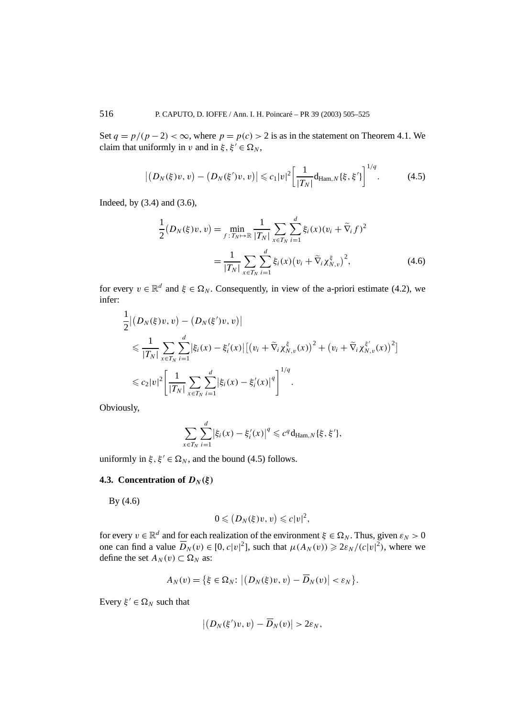Set  $q = p/(p-2) < \infty$ , where  $p = p(c) > 2$  is as in the statement on Theorem 4.1. We claim that uniformly in *v* and in  $\xi, \xi' \in \Omega_N$ ,

$$
\left| (D_N(\xi)v, v) - (D_N(\xi')v, v) \right| \leqslant c_1 |v|^2 \left[ \frac{1}{|T_N|} \mathrm{d}_{\mathrm{Ham}, N} \{ \xi, \xi' \} \right]^{1/q} . \tag{4.5}
$$

Indeed, by (3.4) and (3.6),

$$
\frac{1}{2}(D_N(\xi)v, v) = \min_{f: T_N \mapsto \mathbb{R}} \frac{1}{|T_N|} \sum_{x \in T_N} \sum_{i=1}^d \xi_i(x) (v_i + \tilde{\nabla}_i f)^2
$$

$$
= \frac{1}{|T_N|} \sum_{x \in T_N} \sum_{i=1}^d \xi_i(x) (v_i + \tilde{\nabla}_i \chi_{N, v}^{\xi})^2,
$$
(4.6)

for every  $v \in \mathbb{R}^d$  and  $\xi \in \Omega_N$ . Consequently, in view of the a-priori estimate (4.2), we infer:

$$
\frac{1}{2} | (D_N(\xi)v, v) - (D_N(\xi')v, v) |
$$
\n
$$
\leq \frac{1}{|T_N|} \sum_{x \in T_N} \sum_{i=1}^d |\xi_i(x) - \xi'_i(x)| [(v_i + \widetilde{\nabla}_i \chi_{N, v}^{\xi}(x))^2 + (v_i + \widetilde{\nabla}_i \chi_{N, v}^{\xi'}(x))^2]
$$
\n
$$
\leq c_2 |v|^2 \left[ \frac{1}{|T_N|} \sum_{x \in T_N} \sum_{i=1}^d |\xi_i(x) - \xi'_i(x)|^q \right]^{1/q}.
$$

Obviously,

$$
\sum_{x \in T_N} \sum_{i=1}^d |\xi_i(x) - \xi'_i(x)|^q \leq c^q \mathrm{d}_{\mathrm{Ham},N} \{\xi, \xi'\},\,
$$

uniformly in  $\xi, \xi' \in \Omega_N$ , and the bound (4.5) follows.

## **4.3. Concentration of**  $D_N(\xi)$

By (4.6)

$$
0\leqslant (D_N(\xi)v,v)\leqslant c|v|^2,
$$

for every  $v \in \mathbb{R}^d$  and for each realization of the environment  $\xi \in \Omega_N$ . Thus, given  $\varepsilon_N > 0$ one can find a value  $\overline{D}_N(v) \in [0, c|v|^2]$ , such that  $\mu(A_N(v)) \geq 2\varepsilon_N/(c|v|^2)$ , where we define the set  $A_N(v) \subset \Omega_N$  as:

$$
A_N(v) = \{ \xi \in \Omega_N : \left| \left( D_N(\xi)v, v \right) - \overline{D}_N(v) \right| < \varepsilon_N \}.
$$

Every  $\xi' \in \Omega_N$  such that

$$
\left|\left(D_N(\xi')v,v\right)-\overline{D}_N(v)\right|>2\varepsilon_N,
$$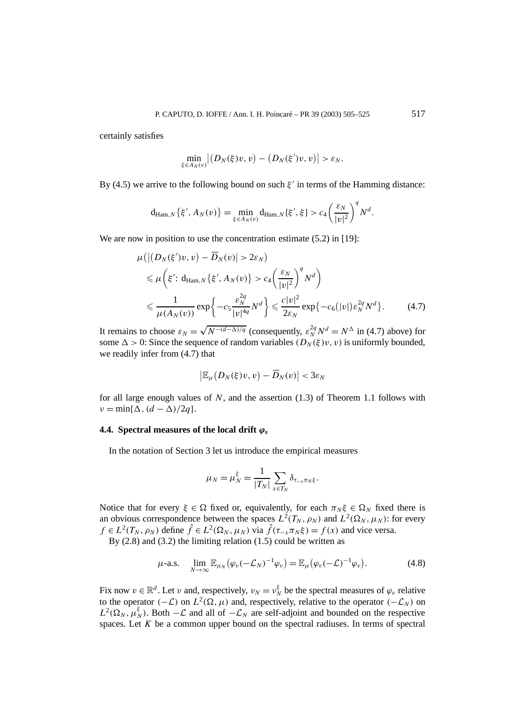certainly satisfies

$$
\min_{\xi\in A_N(v)}\big|\big(D_N(\xi)v,v\big)-\big(D_N(\xi')v,v\big)\big|>\varepsilon_N.
$$

By (4.5) we arrive to the following bound on such  $\xi'$  in terms of the Hamming distance:

$$
\mathrm{d}_{\mathrm{Ham},N}\left\{\xi',A_N(v)\right\}=\min_{\xi\in A_N(v)}\mathrm{d}_{\mathrm{Ham},N}\left\{\xi',\xi\right\}>c_4\left(\frac{\varepsilon_N}{|v|^2}\right)^qN^d.
$$

We are now in position to use the concentration estimate  $(5.2)$  in [19]:

$$
\mu\left(\left|\left(D_{N}(\xi')v,v\right)-\overline{D}_{N}(v)\right|>2\varepsilon_{N}\right) \leq \mu\left(\xi'\colon d_{\text{Ham},N}\left\{\xi',A_{N}(v)\right\}>c_{4}\left(\frac{\varepsilon_{N}}{|v|^{2}}\right)^{q}N^{d}\right) \leq \frac{1}{\mu(A_{N}(v))}\exp\left\{-c_{5}\frac{\varepsilon_{N}^{2q}}{|v|^{4q}}N^{d}\right\} \leq \frac{c|v|^{2}}{2\varepsilon_{N}}\exp\left\{-c_{6}(|v|)\varepsilon_{N}^{2q}N^{d}\right\}.\tag{4.7}
$$

It remains to choose  $\varepsilon_N = \sqrt{N^{-(d-\Delta)/q}}$  (consequently,  $\varepsilon_N^{2q} N^d = N^{\Delta}$  in (4.7) above) for some  $\Delta > 0$ : Since the sequence of random variables  $(D_N(\xi)v, v)$  is uniformly bounded, we readily infer from (4.7) that

$$
\big|\mathbb{E}_{\mu}\big(D_N(\xi)v,v\big)-\overline{D}_N(v)\big|<3\varepsilon_N
$$

for all large enough values of *N*, and the assertion (1.3) of Theorem 1.1 follows with  $\nu = \min{\{\Delta, (d - \Delta)/2q\}}$ .

## **4.4. Spectral measures of the local drift**  $\varphi_v$

In the notation of Section 3 let us introduce the empirical measures

$$
\mu_N = \mu_N^{\xi} = \frac{1}{|T_N|} \sum_{x \in T_N} \delta_{\tau_{-x} \pi_N \xi}.
$$

Notice that for every  $\xi \in \Omega$  fixed or, equivalently, for each  $\pi_N \xi \in \Omega_N$  fixed there is an obvious correspondence between the spaces  $L^2(T_N, \rho_N)$  and  $L^2(\Omega_N, \mu_N)$ : for every  $f \in L^2(T_N, \rho_N)$  define  $\hat{f} \in L^2(\Omega_N, \mu_N)$  via  $\hat{f}(\tau_{-\hat{x}} \pi_N \xi) = f(x)$  and vice versa.

By  $(2.8)$  and  $(3.2)$  the limiting relation  $(1.5)$  could be written as

$$
\mu\text{-a.s.}\quad\lim_{N\to\infty}\mathbb{E}_{\mu_N}(\varphi_v(-\mathcal{L}_N)^{-1}\varphi_v)=\mathbb{E}_{\mu}(\varphi_v(-\mathcal{L})^{-1}\varphi_v).
$$
\n(4.8)

Fix now  $v \in \mathbb{R}^d$ . Let *v* and, respectively,  $v_N = v_N^{\xi}$  be the spectral measures of  $\varphi_v$  relative to the operator  $(-\mathcal{L})$  on  $L^2(\Omega, \mu)$  and, respectively, relative to the operator  $(-\mathcal{L}_N)$  on  $L^2(\Omega_N, \mu_N^{\xi})$ . Both  $-\mathcal{L}$  and all of  $-\mathcal{L}_N$  are self-adjoint and bounded on the respective spaces. Let *K* be a common upper bound on the spectral radiuses. In terms of spectral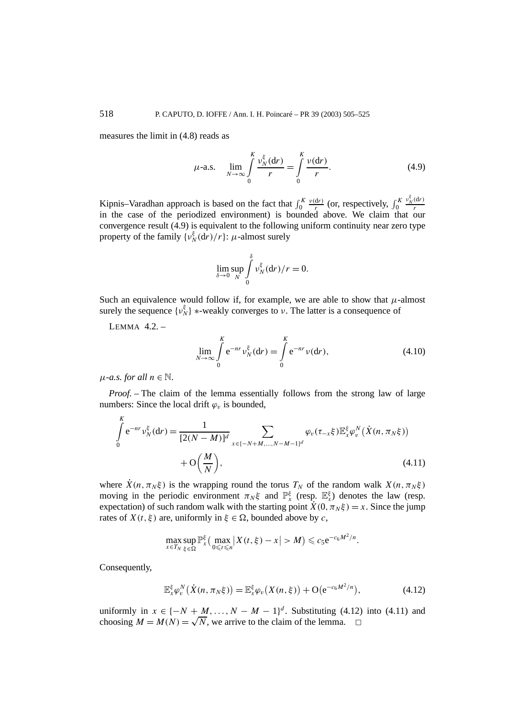measures the limit in (4.8) reads as

$$
\mu\text{-a.s.} \quad \lim_{N \to \infty} \int_{0}^{K} \frac{\nu_{N}^{\xi}(\mathbf{d}r)}{r} = \int_{0}^{K} \frac{\nu(\mathbf{d}r)}{r}.
$$
 (4.9)

Kipnis–Varadhan approach is based on the fact that  $\int_0^K \frac{v(\mathrm{d}r)}{r}$  (or, respectively,  $\int_0^K$ *Kipnis–Varadhan approach is based on the fact that*  $\int_0^K \frac{v(dr)}{r}$  *(or, respectively,*  $\int_0^K \frac{v_N^{\xi}(dr)}{r}$  *in the case of the periodized environment) is bounded above. We claim that our* convergence result (4.9) is equivalent to the following uniform continuity near zero type property of the family  $\{v_N^{\xi}(\mathbf{d}r)/r\}$ : *µ*-almost surely

$$
\lim_{\delta \to 0} \sup_N \int_0^{\delta} v_N^{\xi} dr \, dr = 0.
$$

Such an equivalence would follow if, for example, we are able to show that  $\mu$ -almost surely the sequence  $\{v_N^{\xi}\}\$  \*-weakly converges to *v*. The latter is a consequence of

LEMMA 4.2. –

$$
\lim_{N \to \infty} \int_{0}^{K} e^{-nr} v_{N}^{\xi} (dr) = \int_{0}^{K} e^{-nr} v(dr), \qquad (4.10)
$$

 $\mu$ *-a.s. for all*  $n \in \mathbb{N}$ .

*Proof. –* The claim of the lemma essentially follows from the strong law of large numbers: Since the local drift  $\varphi$ <sub>*v*</sub> is bounded,

$$
\int_{0}^{K} e^{-nr} \nu_{N}^{\xi}(dr) = \frac{1}{[2(N-M)]^{d}} \sum_{x \in \{-N+M,\dots,N-M-1\}^{d}} \varphi_{v}(\tau_{-x}\xi) \mathbb{E}_{x}^{\xi} \varphi_{v}^{N}(\dot{X}(n,\pi_{N}\xi)) + O\left(\frac{M}{N}\right),
$$
\n(4.11)

where  $\dot{X}(n, \pi_N \xi)$  is the wrapping round the torus  $T_N$  of the random walk  $X(n, \pi_N \xi)$ moving in the periodic environment  $\pi_N \xi$  and  $\mathbb{P}_{x}^{\xi}$  (resp.  $\mathbb{E}_{x}^{\xi}$ ) denotes the law (resp. expectation) of such random walk with the starting point  $X(0, \pi_N \xi) = x$ . Since the jump rates of  $X(t, \xi)$  are, uniformly in  $\xi \in \Omega$ , bounded above by *c*,

$$
\max_{x \in T_N} \sup_{\xi \in \Omega} \mathbb{P}_x^{\xi} \big( \max_{0 \leq t \leq n} \big| X(t, \xi) - x \big| > M \big) \leqslant c_5 e^{-c_6 M^2/n}.
$$

Consequently,

$$
\mathbb{E}_{x}^{\xi} \varphi_{v}^{N}\left(\dot{X}(n, \pi_{N}\xi)\right) = \mathbb{E}_{x}^{\xi} \varphi_{v}\left(X(n, \xi)\right) + \mathcal{O}\big(e^{-c_{6}M^{2}/n}\big),\tag{4.12}
$$

uniformly in  $x \in \{-N + M, ..., N - M - 1\}^d$ . Substituting (4.12) into (4.11) and choosing  $M = M(N) = \sqrt{N}$ , we arrive to the claim of the lemma.  $\square$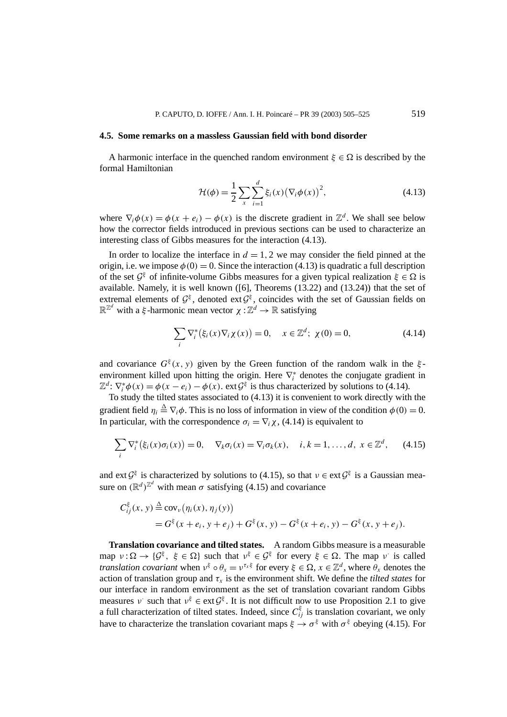#### **4.5. Some remarks on a massless Gaussian field with bond disorder**

A harmonic interface in the quenched random environment  $\xi \in \Omega$  is described by the formal Hamiltonian

$$
\mathcal{H}(\phi) = \frac{1}{2} \sum_{x} \sum_{i=1}^{d} \xi_i(x) (\nabla_i \phi(x))^2,
$$
\n(4.13)

where  $\nabla_i \phi(x) = \phi(x + e_i) - \phi(x)$  is the discrete gradient in  $\mathbb{Z}^d$ . We shall see below how the corrector fields introduced in previous sections can be used to characterize an interesting class of Gibbs measures for the interaction (4.13).

In order to localize the interface in  $d = 1, 2$  we may consider the field pinned at the origin, i.e. we impose  $\phi(0) = 0$ . Since the interaction (4.13) is quadratic a full description of the set  $\mathcal{G}^{\xi}$  of infinite-volume Gibbs measures for a given typical realization  $\xi \in \Omega$  is available. Namely, it is well known ([6], Theorems (13.22) and (13.24)) that the set of extremal elements of  $\mathcal{G}^{\xi}$ , denoted ext  $\mathcal{G}^{\xi}$ , coincides with the set of Gaussian fields on  $\mathbb{R}^{\mathbb{Z}^d}$  with a *ξ*-harmonic mean vector  $\chi : \mathbb{Z}^d \to \mathbb{R}$  satisfying

$$
\sum_{i} \nabla_{i}^{*} (\xi_{i}(x) \nabla_{i} \chi(x)) = 0, \quad x \in \mathbb{Z}^{d}; \ \chi(0) = 0,
$$
 (4.14)

and covariance  $G^{\xi}(x, y)$  given by the Green function of the random walk in the  $\xi$ environment killed upon hitting the origin. Here ∇<sup>∗</sup> *<sup>i</sup>* denotes the conjugate gradient in  $\mathbb{Z}^d$ :  $\nabla_i^* \phi(x) = \phi(x - e_i) - \phi(x)$ . ext $\mathcal{G}^{\xi}$  is thus characterized by solutions to (4.14).

To study the tilted states associated to (4.13) it is convenient to work directly with the gradient field  $\eta_i \stackrel{\Delta}{=} \nabla_i \phi$ . This is no loss of information in view of the condition  $\phi(0) = 0$ . In particular, with the correspondence  $\sigma_i = \nabla_i \chi$ , (4.14) is equivalent to

$$
\sum_{i} \nabla_i^* (\xi_i(x)\sigma_i(x)) = 0, \quad \nabla_k \sigma_i(x) = \nabla_i \sigma_k(x), \quad i, k = 1, \dots, d, \ x \in \mathbb{Z}^d, \tag{4.15}
$$

and ext  $G^{\xi}$  is characterized by solutions to (4.15), so that  $v \in \text{ext } G^{\xi}$  is a Gaussian measure on  $(\mathbb{R}^d)^{\mathbb{Z}^d}$  with mean  $\sigma$  satisfying (4.15) and covariance

$$
C_{ij}^{\xi}(x, y) \stackrel{\Delta}{=} \text{cov}_{\nu}(\eta_i(x), \eta_j(y))
$$
  
=  $G^{\xi}(x + e_i, y + e_j) + G^{\xi}(x, y) - G^{\xi}(x + e_i, y) - G^{\xi}(x, y + e_j).$ 

**Translation covariance and tilted states.** A random Gibbs measure is a measurable map  $v : \Omega \to \{G^{\xi}, \xi \in \Omega\}$  such that  $v^{\xi} \in G^{\xi}$  for every  $\xi \in \Omega$ . The map *v* is called *translation covariant* when  $v^{\xi} \circ \theta_x = v^{\tau_x \xi}$  for every  $\xi \in \Omega, x \in \mathbb{Z}^d$ , where  $\theta_x$  denotes the action of translation group and  $\tau_x$  is the environment shift. We define the *tilted states* for our interface in random environment as the set of translation covariant random Gibbs measures *ν*· such that  $v^{\xi} \in \text{ext}\mathcal{G}^{\xi}$ . It is not difficult now to use Proposition 2.1 to give a full characterization of tilted states. Indeed, since  $C_{ij}^{\xi}$  is translation covariant, we only have to characterize the translation covariant maps  $\xi \to \sigma^{\xi}$  with  $\sigma^{\xi}$  obeying (4.15). For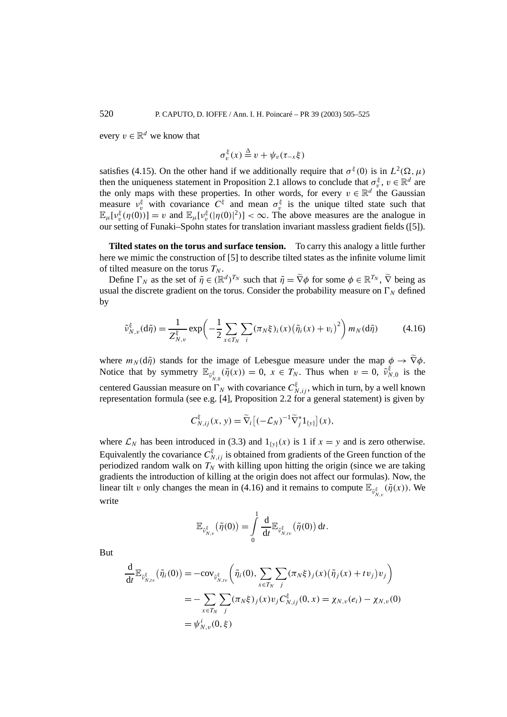every  $v \in \mathbb{R}^d$  we know that

$$
\sigma_v^{\xi}(x) \stackrel{\Delta}{=} v + \psi_v(\tau_{-x}\xi)
$$

satisfies (4.15). On the other hand if we additionally require that  $\sigma^{\xi}(0)$  is in  $L^2(\Omega, \mu)$ then the uniqueness statement in Proposition 2.1 allows to conclude that  $\sigma_v^{\xi}$ ,  $v \in \mathbb{R}^d$  are the only maps with these properties. In other words, for every  $v \in \mathbb{R}^d$  the Gaussian measure  $v_v^{\xi}$  with covariance  $C^{\xi}$  and mean  $\sigma_v^{\xi}$  is the unique tilted state such that  $\mathbb{E}_{\mu}[\nu_{\nu}^{\xi}(\eta(0))] = \nu$  and  $\mathbb{E}_{\mu}[\nu_{\nu}^{\xi}(|\eta(0)|^2)] < \infty$ . The above measures are the analogue in our setting of Funaki–Spohn states for translation invariant massless gradient fields ([5]).

**Tilted states on the torus and surface tension.** To carry this analogy a little further here we mimic the construction of [5] to describe tilted states as the infinite volume limit of tilted measure on the torus  $T_N$ .

Define  $\Gamma_N$  as the set of  $\tilde{\eta} \in (\mathbb{R}^d)^{T_N}$  such that  $\tilde{\eta} = \tilde{\nabla}\phi$  for some  $\phi \in \mathbb{R}^{T_N}$ ,  $\tilde{\nabla}$  being as usual the discrete gradient on the torus. Consider the probability measure on  $\Gamma_N$  defined by

$$
\tilde{\nu}_{N,v}^{\xi}(\mathrm{d}\tilde{\eta}) = \frac{1}{Z_{N,v}^{\xi}} \exp\left(-\frac{1}{2} \sum_{x \in T_N} \sum_{i} (\pi_N \xi)_i(x) \left(\tilde{\eta}_i(x) + v_i\right)^2\right) m_N(\mathrm{d}\tilde{\eta}) \tag{4.16}
$$

where  $m_N(d\tilde{\eta})$  stands for the image of Lebesgue measure under the map  $\phi \to \tilde{\nabla}\phi$ . Notice that by symmetry  $\mathbb{E}_{\tilde{v}_{N,0}^{\xi}}(\tilde{\eta}(x)) = 0$ ,  $x \in T_N$ . Thus when  $v = 0$ ,  $\tilde{v}_{N,0}^{\xi}$  is the centered Gaussian measure on  $\Gamma_N$  with covariance  $C_{N,ij}^{\xi}$ , which in turn, by a well known representation formula (see e.g. [4], Proposition 2.2 for a general statement) is given by

$$
C_{N,ij}^{\xi}(x, y) = \widetilde{\nabla}_i \big[ (-\mathcal{L}_N)^{-1} \widetilde{\nabla}_j^* 1_{\{y\}} \big] (x),
$$

where  $\mathcal{L}_N$  has been introduced in (3.3) and  $1_{\{y\}}(x)$  is 1 if  $x = y$  and is zero otherwise. Equivalently the covariance  $C^{\xi}_{N,ij}$  is obtained from gradients of the Green function of the periodized random walk on  $T_N$  with killing upon hitting the origin (since we are taking gradients the introduction of killing at the origin does not affect our formulas). Now, the linear tilt *v* only changes the mean in (4.16) and it remains to compute  $\mathbb{E}_{\tilde{v}_{N,\nu}^{\xi}}(\tilde{\eta}(x))$ . We write

$$
\mathbb{E}_{\tilde{\nu}_{N,v}^{\xi}}(\tilde{\eta}(0)) = \int\limits_{0}^{1} \frac{\mathrm{d}}{\mathrm{d}t} \mathbb{E}_{\tilde{\nu}_{N,tv}^{\xi}}(\tilde{\eta}(0)) \, \mathrm{d}t.
$$

But

$$
\frac{d}{dt} \mathbb{E}_{\tilde{v}_{N,tv}^{\xi}} (\tilde{\eta}_i(0)) = -\text{cov}_{\tilde{v}_{N,tv}^{\xi}} \left( \tilde{\eta}_i(0), \sum_{x \in T_N} \sum_j (\pi_N \xi)_j(x) (\tilde{\eta}_j(x) + tv_j) v_j \right)
$$
\n
$$
= -\sum_{x \in T_N} \sum_j (\pi_N \xi)_j(x) v_j C_{N,ij}^{\xi}(0, x) = \chi_{N,v}(e_i) - \chi_{N,v}(0)
$$
\n
$$
= \psi_{N,v}^i(0, \xi)
$$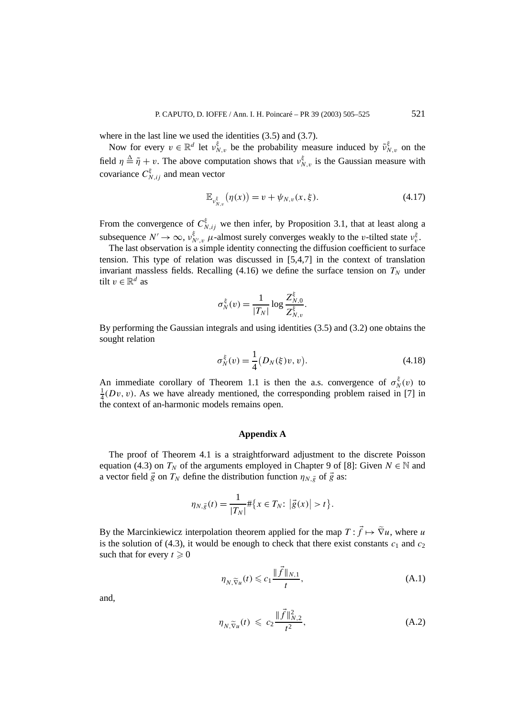where in the last line we used the identities  $(3.5)$  and  $(3.7)$ .

Now for every  $v \in \mathbb{R}^d$  let  $v_{N,v}^{\xi}$  be the probability measure induced by  $\tilde{v}_{N,v}^{\xi}$  on the field  $\eta \triangleq \tilde{\eta} + v$ . The above computation shows that  $v_{N,v}^{\xi}$  is the Gaussian measure with covariance  $C^{\xi}_{N,ij}$  and mean vector

$$
\mathbb{E}_{\nu_{N,v}^{\xi}}(\eta(x)) = v + \psi_{N,v}(x,\xi). \tag{4.17}
$$

From the convergence of  $C_{N,ij}^{\xi}$  we then infer, by Proposition 3.1, that at least along a subsequence  $N' \to \infty$ ,  $v_{N',v}^{\xi}$  *µ*-almost surely converges weakly to the *v*-tilted state  $v_{v}^{\xi}$ .

The last observation is a simple identity connecting the diffusion coefficient to surface tension. This type of relation was discussed in [5,4,7] in the context of translation invariant massless fields. Recalling  $(4.16)$  we define the surface tension on  $T<sub>N</sub>$  under tilt  $v \in \mathbb{R}^d$  as

$$
\sigma_N^{\xi}(v) = \frac{1}{|T_N|} \log \frac{Z_{N,0}^{\xi}}{Z_{N,v}^{\xi}}.
$$

By performing the Gaussian integrals and using identities (3.5) and (3.2) one obtains the sought relation

$$
\sigma_N^{\xi}(v) = \frac{1}{4} (D_N(\xi)v, v).
$$
 (4.18)

An immediate corollary of Theorem 1.1 is then the a.s. convergence of  $\sigma_N^{\xi}(v)$  to  $\frac{1}{4}(Dv, v)$ . As we have already mentioned, the corresponding problem raised in [7] in the context of an-harmonic models remains open.

#### **Appendix A**

The proof of Theorem 4.1 is a straightforward adjustment to the discrete Poisson equation (4.3) on  $T_N$  of the arguments employed in Chapter 9 of [8]: Given  $N \in \mathbb{N}$  and a vector field  $\vec{g}$  on  $T_N$  define the distribution function  $\eta_{N,\vec{g}}$  of  $\vec{g}$  as:

$$
\eta_{N,\vec{g}}(t) = \frac{1}{|T_N|} \# \{ x \in T_N : |\vec{g}(x)| > t \}.
$$

By the Marcinkiewicz interpolation theorem applied for the map  $T : \vec{f} \mapsto \tilde{\nabla}u$ , where *u* is the solution of (4.3), it would be enough to check that there exist constants  $c_1$  and  $c_2$ such that for every  $t \geq 0$ 

$$
\eta_{N,\widetilde{\nabla}u}(t) \leqslant c_1 \frac{\|\vec{f}\|_{N,1}}{t},\tag{A.1}
$$

and,

$$
\eta_{N,\widetilde{\nabla}u}(t) \leqslant c_2 \frac{\|\vec{f}\|_{N,2}^2}{t^2},\tag{A.2}
$$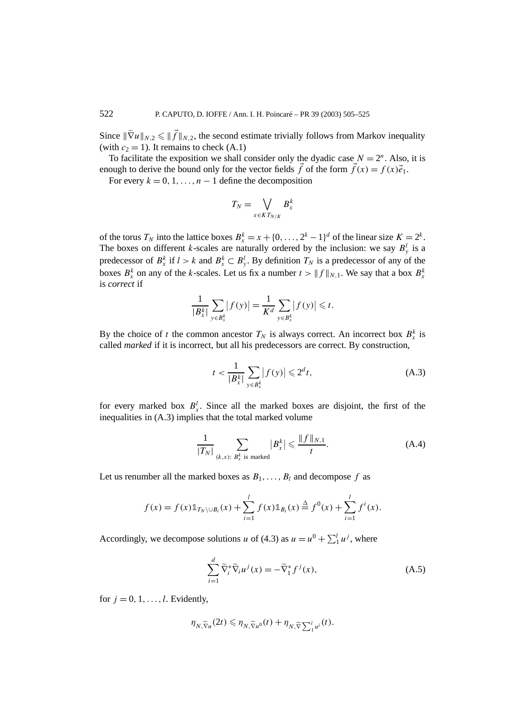Since  $\|\widetilde{\nabla}u\|_{N,2} \leq \|\vec{f}\|_{N,2}$ , the second estimate trivially follows from Markov inequality (with  $c_2 = 1$ ). It remains to check  $(A.1)$ 

To facilitate the exposition we shall consider only the dyadic case  $N = 2^n$ . Also, it is enough to derive the bound only for the vector fields  $\vec{f}$  of the form  $\vec{f}(x) = f(x)\vec{e}_1$ .

For every  $k = 0, 1, \ldots, n - 1$  define the decomposition

$$
T_N = \bigvee_{x \in KT_{N/K}} B_x^k
$$

of the torus  $T_N$  into the lattice boxes  $B_x^k = x + \{0, \ldots, 2^k - 1\}^d$  of the linear size  $K = 2^k$ . The boxes on different *k*-scales are naturally ordered by the inclusion: we say  $B_y^l$  is a predecessor of  $B_x^k$  if  $l > k$  and  $B_x^k \subset B_y^l$ . By definition  $T_N$  is a predecessor of any of the boxes  $B_x^k$  on any of the *k*-scales. Let us fix a number  $t > ||f||_{N,1}$ . We say that a box  $B_x^k$ is *correct* if

$$
\frac{1}{|B_x^k|}\sum_{y\in B_x^k}|f(y)|=\frac{1}{K^d}\sum_{y\in B_x^k}|f(y)|\leq t.
$$

By the choice of *t* the common ancestor  $T_N$  is always correct. An incorrect box  $B_x^k$  is called *marked* if it is incorrect, but all his predecessors are correct. By construction,

$$
t < \frac{1}{|B_x^k|} \sum_{y \in B_x^k} |f(y)| \leq 2^d t,\tag{A.3}
$$

for every marked box  $B_x^l$ . Since all the marked boxes are disjoint, the first of the inequalities in (A.3) implies that the total marked volume

$$
\frac{1}{|T_N|} \sum_{(k,x):\ B_X^k \text{ is marked}} |B_x^k| \leq \frac{\|f\|_{N,1}}{t}.\tag{A.4}
$$

Let us renumber all the marked boxes as  $B_1, \ldots, B_l$  and decompose  $f$  as

$$
f(x) = f(x) \mathbb{1}_{T_N \setminus \cup B_i}(x) + \sum_{i=1}^l f(x) \mathbb{1}_{B_i}(x) \stackrel{\Delta}{=} f^0(x) + \sum_{i=1}^l f^i(x).
$$

Accordingly, we decompose solutions *u* of (4.3) as  $u = u^0 + \sum_1^l u^j$ , where

$$
\sum_{i=1}^{d} \widetilde{\nabla}_i^* \widetilde{\nabla}_i u^j(x) = -\widetilde{\nabla}_1^* f^j(x),\tag{A.5}
$$

for  $j = 0, 1, \ldots, l$ . Evidently,

$$
\eta_{N,\widetilde{\nabla}u}(2t) \leq \eta_{N,\widetilde{\nabla}u^{0}}(t) + \eta_{N,\widetilde{\nabla}\sum_{1}^{l}u^{i}}(t).
$$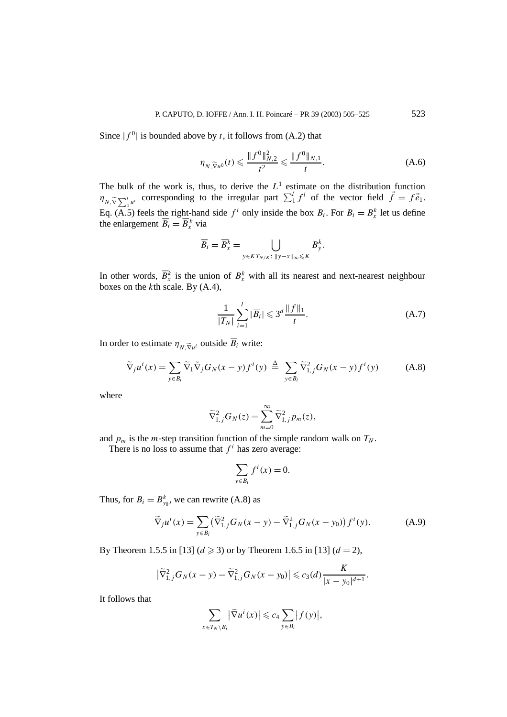Since  $|f^0|$  is bounded above by *t*, it follows from (A.2) that

$$
\eta_{N,\widetilde{\nabla}u^{0}}(t) \leqslant \frac{\|f^{0}\|_{N,2}^{2}}{t^{2}} \leqslant \frac{\|f^{0}\|_{N,1}}{t}.
$$
\n(A.6)

The bulk of the work is, thus, to derive the  $L<sup>1</sup>$  estimate on the distribution function  $\eta_{N,\widetilde{V}}\sum_{i=1}^{l}u^{i}$  corresponding to the irregular part  $\sum_{i=1}^{l}f^{i}$  of the vector field  $\vec{f} = f\vec{e}_{1}$ . Eq. (A.5) feels the right-hand side  $f^i$  only inside the box  $B_i$ . For  $B_i = B_x^k$  let us define the enlargement  $\overline{B}_i = \overline{B}_x^k$  via

$$
\overline{B}_i = \overline{B}_x^k = \bigcup_{y \in K T_{N/K}: \ \|y - x\|_\infty \leqslant K} B_y^k.
$$

In other words,  $\overline{B}_x^k$  is the union of  $B_x^k$  with all its nearest and next-nearest neighbour boxes on the *k*th scale. By (A.4),

$$
\frac{1}{|T_N|} \sum_{i=1}^l |\overline{B}_i| \leq 3^d \frac{\|f\|_1}{t}.
$$
 (A.7)

In order to estimate  $\eta_{N, \widetilde{\nabla}_u}$  outside  $\overline{B}_i$  write:

$$
\widetilde{\nabla}_j u^i(x) = \sum_{y \in B_i} \widetilde{\nabla}_j G_N(x - y) f^i(y) \stackrel{\Delta}{=} \sum_{y \in B_i} \widetilde{\nabla}_{1,j}^2 G_N(x - y) f^i(y) \tag{A.8}
$$

where

$$
\widetilde{\nabla}_{1,j}^2 G_N(z) = \sum_{m=0}^{\infty} \widetilde{\nabla}_{1,j}^2 p_m(z),
$$

and  $p_m$  is the *m*-step transition function of the simple random walk on  $T_N$ .

There is no loss to assume that  $f^i$  has zero average:

$$
\sum_{y \in B_i} f^i(x) = 0.
$$

Thus, for  $B_i = B_{y_0}^k$ , we can rewrite (A.8) as

$$
\widetilde{\nabla}_{j} u^{i}(x) = \sum_{y \in B_{i}} (\widetilde{\nabla}_{1,j}^{2} G_{N}(x - y) - \widetilde{\nabla}_{1,j}^{2} G_{N}(x - y_{0})) f^{i}(y).
$$
 (A.9)

By Theorem 1.5.5 in [13]  $(d \ge 3)$  or by Theorem 1.6.5 in [13]  $(d = 2)$ ,

$$
\left|\widetilde{\nabla}_{1,j}^2G_N(x-y)-\widetilde{\nabla}_{1,j}^2G_N(x-y_0)\right|\leqslant c_3(d)\frac{K}{|x-y_0|^{d+1}}.
$$

It follows that

$$
\sum_{x \in T_N \setminus \overline{B_i}} |\widetilde{\nabla} u^i(x)| \leqslant c_4 \sum_{y \in B_i} |f(y)|,
$$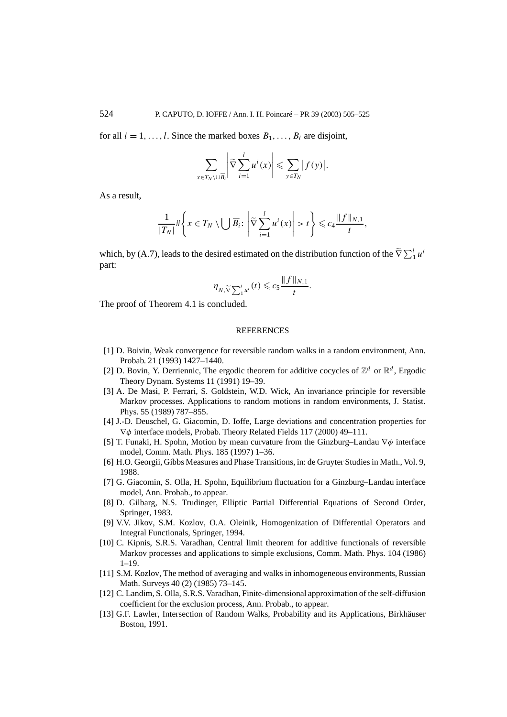for all  $i = 1, \ldots, l$ . Since the marked boxes  $B_1, \ldots, B_l$  are disjoint,

$$
\sum_{x \in T_N \setminus \cup \overline{B}_i} \left| \widetilde{\nabla} \sum_{i=1}^l u^i(x) \right| \leqslant \sum_{y \in T_N} |f(y)|.
$$

As a result,

$$
\frac{1}{|T_N|} \# \left\{ x \in T_N \setminus \bigcup \overline{B}_i : \left| \widetilde{\nabla} \sum_{i=1}^l u^i(x) \right| > t \right\} \leqslant c_4 \frac{\| f \|_{N,1}}{t},
$$

which, by (A.7), leads to the desired estimated on the distribution function of the  $\tilde{\nabla}\sum_{1}^{l}u^{i}$ part:

$$
\eta_{N,\widetilde{\nabla}\sum_{1}^{l}u^{i}}(t)\leqslant c_{5}\frac{\|f\|_{N,1}}{t}.
$$

The proof of Theorem 4.1 is concluded.

#### **REFERENCES**

- [1] D. Boivin, Weak convergence for reversible random walks in a random environment, Ann. Probab. 21 (1993) 1427–1440.
- [2] D. Bovin, Y. Derriennic, The ergodic theorem for additive cocycles of  $\mathbb{Z}^d$  or  $\mathbb{R}^d$ , Ergodic Theory Dynam. Systems 11 (1991) 19–39.
- [3] A. De Masi, P. Ferrari, S. Goldstein, W.D. Wick, An invariance principle for reversible Markov processes. Applications to random motions in random environments, J. Statist. Phys. 55 (1989) 787–855.
- [4] J.-D. Deuschel, G. Giacomin, D. Ioffe, Large deviations and concentration properties for ∇*φ* interface models, Probab. Theory Related Fields 117 (2000) 49–111.
- [5] T. Funaki, H. Spohn, Motion by mean curvature from the Ginzburg–Landau ∇*φ* interface model, Comm. Math. Phys. 185 (1997) 1–36.
- [6] H.O. Georgii, Gibbs Measures and Phase Transitions, in: de Gruyter Studies in Math., Vol. 9, 1988.
- [7] G. Giacomin, S. Olla, H. Spohn, Equilibrium fluctuation for a Ginzburg–Landau interface model, Ann. Probab., to appear.
- [8] D. Gilbarg, N.S. Trudinger, Elliptic Partial Differential Equations of Second Order, Springer, 1983.
- [9] V.V. Jikov, S.M. Kozlov, O.A. Oleinik, Homogenization of Differential Operators and Integral Functionals, Springer, 1994.
- [10] C. Kipnis, S.R.S. Varadhan, Central limit theorem for additive functionals of reversible Markov processes and applications to simple exclusions, Comm. Math. Phys. 104 (1986) 1–19.
- [11] S.M. Kozlov, The method of averaging and walks in inhomogeneous environments, Russian Math. Surveys 40 (2) (1985) 73–145.
- [12] C. Landim, S. Olla, S.R.S. Varadhan, Finite-dimensional approximation of the self-diffusion coefficient for the exclusion process, Ann. Probab., to appear.
- [13] G.F. Lawler, Intersection of Random Walks, Probability and its Applications, Birkhäuser Boston, 1991.